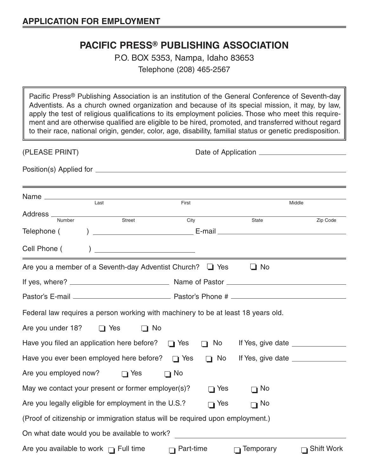## **PACIFIC PRESS® PUBLISHING ASSOCIATION**

P.O. BOX 5353, Nampa, Idaho 83653 Telephone (208) 465-2567

Pacific Press® Publishing Association is an institution of the General Conference of Seventh-day Adventists. As a church owned organization and because of its special mission, it may, by law, apply the test of religious qualifications to its employment policies. Those who meet this requirement and are otherwise qualified are eligible to be hired, promoted, and transferred without regard to their race, national origin, gender, color, age, disability, familial status or genetic predisposition.

| (PLEASE PRINT)                                                                    |                                                                                |                  |            |                  |                   |  |  |  |  |  |  |
|-----------------------------------------------------------------------------------|--------------------------------------------------------------------------------|------------------|------------|------------------|-------------------|--|--|--|--|--|--|
|                                                                                   |                                                                                |                  |            |                  |                   |  |  |  |  |  |  |
|                                                                                   | $\overline{Last}$                                                              | First            |            |                  | Middle            |  |  |  |  |  |  |
| Address Number Street                                                             |                                                                                | City             |            | State            | Zip Code          |  |  |  |  |  |  |
| Telephone (                                                                       |                                                                                |                  |            |                  |                   |  |  |  |  |  |  |
| Cell Phone (                                                                      |                                                                                |                  |            |                  |                   |  |  |  |  |  |  |
|                                                                                   | Are you a member of a Seventh-day Adventist Church? $\Box$ Yes                 |                  |            | $\Box$ No        |                   |  |  |  |  |  |  |
|                                                                                   |                                                                                |                  |            |                  |                   |  |  |  |  |  |  |
|                                                                                   |                                                                                |                  |            |                  |                   |  |  |  |  |  |  |
| Federal law requires a person working with machinery to be at least 18 years old. |                                                                                |                  |            |                  |                   |  |  |  |  |  |  |
| Are you under 18?                                                                 | $\Box$ Yes<br>$\Box$ No                                                        |                  |            |                  |                   |  |  |  |  |  |  |
|                                                                                   | Have you filed an application here before? $\Box$ Yes                          |                  | $\Box$ No  |                  |                   |  |  |  |  |  |  |
|                                                                                   | Have you ever been employed here before? $\Box$ Yes                            |                  | $\Box$ No  |                  |                   |  |  |  |  |  |  |
| Are you employed now?                                                             | $\Box$ Yes                                                                     | $\Box$ No        |            |                  |                   |  |  |  |  |  |  |
|                                                                                   | May we contact your present or former employer(s)?                             |                  | $\Box$ Yes | $\Box$ No        |                   |  |  |  |  |  |  |
|                                                                                   | Are you legally eligible for employment in the U.S.?                           |                  | $\Box$ Yes | $\Box$ No        |                   |  |  |  |  |  |  |
|                                                                                   | (Proof of citizenship or immigration status will be required upon employment.) |                  |            |                  |                   |  |  |  |  |  |  |
|                                                                                   | On what date would you be available to work?                                   |                  |            |                  |                   |  |  |  |  |  |  |
|                                                                                   | Are you available to work $\Box$ Full time                                     | $\Box$ Part-time |            | $\Box$ Temporary | $\Box$ Shift Work |  |  |  |  |  |  |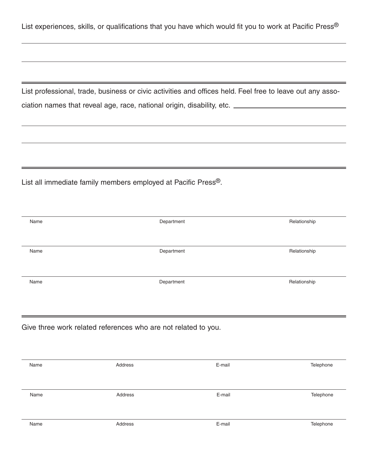List experiences, skills, or qualifications that you have which would fit you to work at Pacific Press®

List professional, trade, business or civic activities and offices held. Feel free to leave out any association names that reveal age, race, national origin, disability, etc.

List all immediate family members employed at Pacific Press®.

| Name                                                           | Department |        | Relationship |  |  |  |  |  |  |  |
|----------------------------------------------------------------|------------|--------|--------------|--|--|--|--|--|--|--|
|                                                                |            |        |              |  |  |  |  |  |  |  |
| Name                                                           | Department |        | Relationship |  |  |  |  |  |  |  |
|                                                                |            |        |              |  |  |  |  |  |  |  |
| Name                                                           | Department |        | Relationship |  |  |  |  |  |  |  |
|                                                                |            |        |              |  |  |  |  |  |  |  |
|                                                                |            |        |              |  |  |  |  |  |  |  |
| Give three work related references who are not related to you. |            |        |              |  |  |  |  |  |  |  |
|                                                                |            |        |              |  |  |  |  |  |  |  |
|                                                                |            |        |              |  |  |  |  |  |  |  |
| Name                                                           | Address    | E-mail | Telephone    |  |  |  |  |  |  |  |
|                                                                |            |        |              |  |  |  |  |  |  |  |
| Name                                                           | Address    | E-mail | Telephone    |  |  |  |  |  |  |  |
|                                                                |            |        |              |  |  |  |  |  |  |  |
| Name                                                           | Address    | E-mail | Telephone    |  |  |  |  |  |  |  |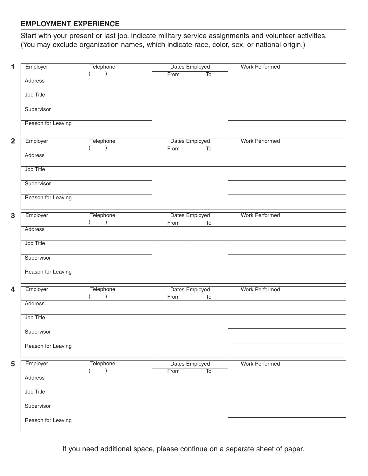## **EMPLOYMENT EXPERIENCE**

Start with your present or last job. Indicate military service assignments and volunteer activities. (You may exclude organization names, which indicate race, color, sex, or national origin.)

| 1              | Employer           | Telephone              | Dates Employed |                          | <b>Work Performed</b> |  |  |  |
|----------------|--------------------|------------------------|----------------|--------------------------|-----------------------|--|--|--|
|                |                    |                        | From           | $\overline{\text{To}}$   |                       |  |  |  |
|                | Address            |                        |                |                          |                       |  |  |  |
|                |                    |                        |                |                          |                       |  |  |  |
|                | Job Title          |                        |                |                          |                       |  |  |  |
|                |                    |                        |                |                          |                       |  |  |  |
|                | Supervisor         |                        |                |                          |                       |  |  |  |
|                |                    |                        |                |                          |                       |  |  |  |
|                | Reason for Leaving |                        |                |                          |                       |  |  |  |
|                |                    |                        |                |                          |                       |  |  |  |
| $\overline{2}$ | Employer           | Telephone              | Dates Employed |                          | <b>Work Performed</b> |  |  |  |
|                |                    | $\lambda$              | From           | $\overline{\text{To}}$   |                       |  |  |  |
|                | Address            |                        |                |                          |                       |  |  |  |
|                |                    |                        |                |                          |                       |  |  |  |
|                | Job Title          |                        |                |                          |                       |  |  |  |
|                |                    |                        |                |                          |                       |  |  |  |
|                | Supervisor         |                        |                |                          |                       |  |  |  |
|                |                    |                        |                |                          |                       |  |  |  |
|                | Reason for Leaving |                        |                |                          |                       |  |  |  |
|                |                    |                        |                |                          |                       |  |  |  |
|                |                    |                        |                |                          |                       |  |  |  |
| 3              | Employer           | Telephone<br>$\lambda$ |                | Dates Employed           | <b>Work Performed</b> |  |  |  |
|                | Address            |                        | From           | $\overline{\text{To}}$   |                       |  |  |  |
|                |                    |                        |                |                          |                       |  |  |  |
|                | Job Title          |                        |                |                          |                       |  |  |  |
|                |                    |                        |                |                          |                       |  |  |  |
|                | Supervisor         |                        |                |                          |                       |  |  |  |
|                |                    |                        |                |                          |                       |  |  |  |
|                | Reason for Leaving |                        |                |                          |                       |  |  |  |
|                |                    |                        |                |                          |                       |  |  |  |
|                |                    |                        |                |                          |                       |  |  |  |
| 4              | Employer           | Telephone              | Dates Employed |                          | <b>Work Performed</b> |  |  |  |
|                |                    | $\lambda$              | From           | $\overline{10}$          |                       |  |  |  |
|                | Address            |                        |                |                          |                       |  |  |  |
|                |                    |                        |                |                          |                       |  |  |  |
|                | Job Title          |                        |                |                          |                       |  |  |  |
|                |                    |                        |                |                          |                       |  |  |  |
|                | Supervisor         |                        |                |                          |                       |  |  |  |
|                |                    |                        |                |                          |                       |  |  |  |
|                | Reason for Leaving |                        |                |                          |                       |  |  |  |
|                |                    |                        |                |                          |                       |  |  |  |
| 5              | Employer           | Telephone              | Dates Employed |                          | <b>Work Performed</b> |  |  |  |
|                |                    | $\lambda$              | From           | $\overline{\mathrm{To}}$ |                       |  |  |  |
|                | Address            |                        |                |                          |                       |  |  |  |
|                |                    |                        |                |                          |                       |  |  |  |
|                | Job Title          |                        |                |                          |                       |  |  |  |
|                |                    |                        |                |                          |                       |  |  |  |
|                | Supervisor         |                        |                |                          |                       |  |  |  |
|                |                    |                        |                |                          |                       |  |  |  |
|                | Reason for Leaving |                        |                |                          |                       |  |  |  |
|                |                    |                        |                |                          |                       |  |  |  |
|                |                    |                        |                |                          |                       |  |  |  |

If you need additional space, please continue on a separate sheet of paper.